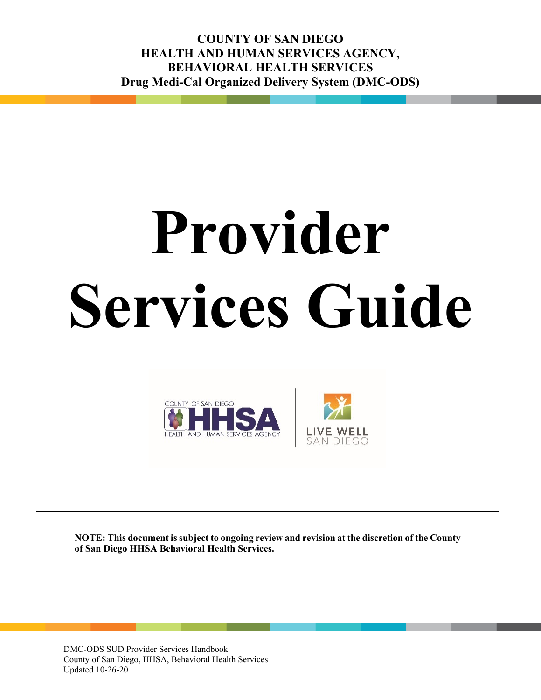**COUNTY OF SAN DIEGO HEALTH AND HUMAN SERVICES AGENCY, BEHAVIORAL HEALTH SERVICES Drug Medi-Cal Organized Delivery System (DMC-ODS)**

# **Provider Services Guide**





**NOTE: This document is subject to ongoing review and revision at the discretion of the County of San Diego HHSA Behavioral Health Services.**

DMC-ODS SUD Provider Services Handbook County of San Diego, HHSA, Behavioral Health Services Updated 10-26-20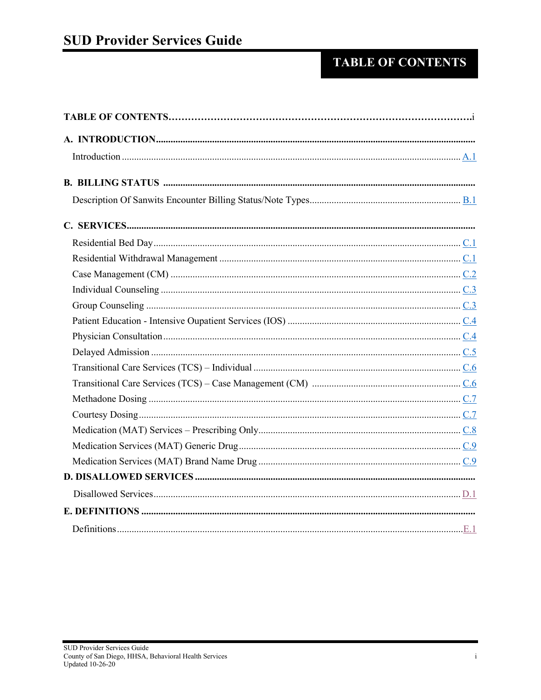# **TABLE OF CONTENTS**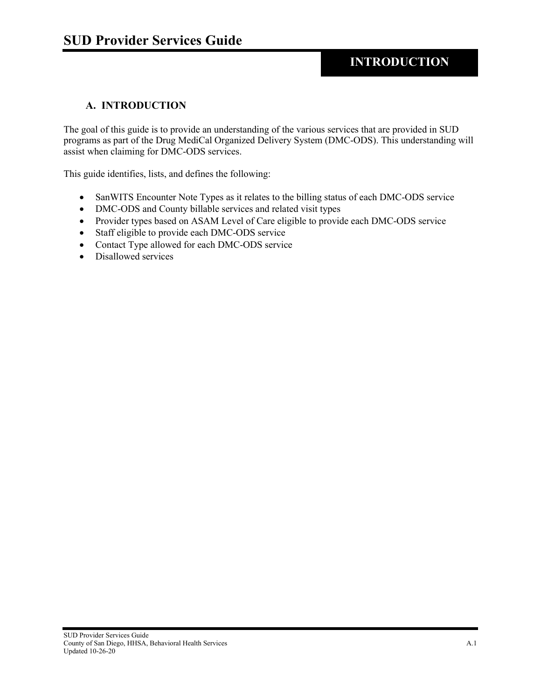### **INTRODUCTION**

#### <span id="page-2-0"></span>**A. INTRODUCTION**

The goal of this guide is to provide an understanding of the various services that are provided in SUD programs as part of the Drug MediCal Organized Delivery System (DMC-ODS). This understanding will assist when claiming for DMC-ODS services.

This guide identifies, lists, and defines the following:

- SanWITS Encounter Note Types as it relates to the billing status of each DMC-ODS service
- DMC-ODS and County billable services and related visit types
- Provider types based on ASAM Level of Care eligible to provide each DMC-ODS service
- Staff eligible to provide each DMC-ODS service
- Contact Type allowed for each DMC-ODS service
- Disallowed services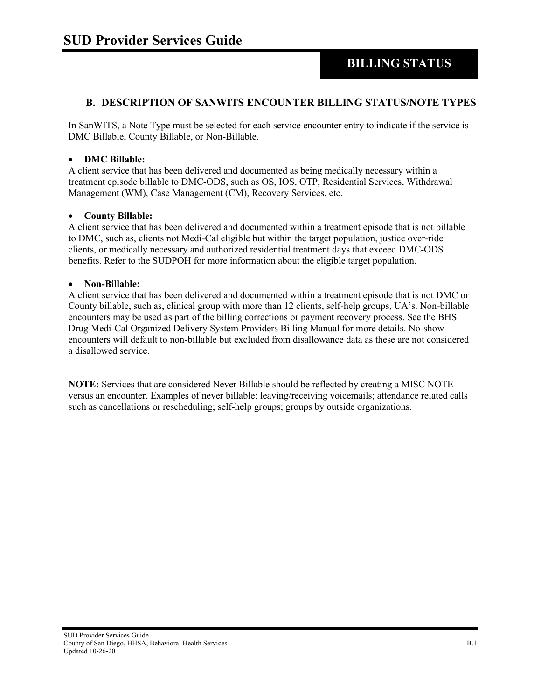## **BILLING STATUS**

#### <span id="page-3-0"></span>**B. DESCRIPTION OF SANWITS ENCOUNTER BILLING STATUS/NOTE TYPES**

In SanWITS, a Note Type must be selected for each service encounter entry to indicate if the service is DMC Billable, County Billable, or Non-Billable.

#### • **DMC Billable:**

A client service that has been delivered and documented as being medically necessary within a treatment episode billable to DMC-ODS, such as OS, IOS, OTP, Residential Services, Withdrawal Management (WM), Case Management (CM), Recovery Services, etc.

#### • **County Billable:**

A client service that has been delivered and documented within a treatment episode that is not billable to DMC, such as, clients not Medi-Cal eligible but within the target population, justice over-ride clients, or medically necessary and authorized residential treatment days that exceed DMC-ODS benefits. Refer to the SUDPOH for more information about the eligible target population.

#### • **Non-Billable:**

A client service that has been delivered and documented within a treatment episode that is not DMC or County billable, such as, clinical group with more than 12 clients, self-help groups, UA's. Non-billable encounters may be used as part of the billing corrections or payment recovery process. See the BHS Drug Medi-Cal Organized Delivery System Providers Billing Manual for more details. No-show encounters will default to non-billable but excluded from disallowance data as these are not considered a disallowed service.

**NOTE:** Services that are considered Never Billable should be reflected by creating a MISC NOTE versus an encounter. Examples of never billable: leaving/receiving voicemails; attendance related calls such as cancellations or rescheduling; self-help groups; groups by outside organizations.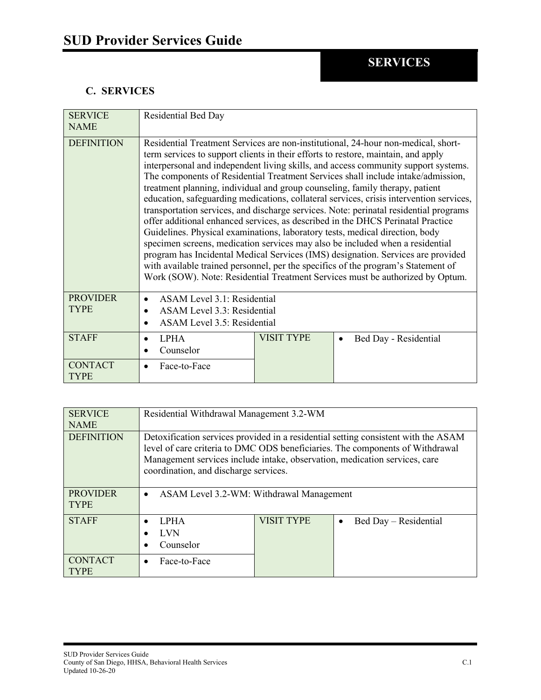#### <span id="page-4-0"></span>**C. SERVICES**

| <b>SERVICE</b><br><b>NAME</b>  | Residential Bed Day                                                                                                                                                                                                                                                                                                                                                                                                                                                                                                                                                                                                                                                                                                                                                                                                                                                                                                                                                                                                                               |                   |                                    |
|--------------------------------|---------------------------------------------------------------------------------------------------------------------------------------------------------------------------------------------------------------------------------------------------------------------------------------------------------------------------------------------------------------------------------------------------------------------------------------------------------------------------------------------------------------------------------------------------------------------------------------------------------------------------------------------------------------------------------------------------------------------------------------------------------------------------------------------------------------------------------------------------------------------------------------------------------------------------------------------------------------------------------------------------------------------------------------------------|-------------------|------------------------------------|
|                                |                                                                                                                                                                                                                                                                                                                                                                                                                                                                                                                                                                                                                                                                                                                                                                                                                                                                                                                                                                                                                                                   |                   |                                    |
| <b>DEFINITION</b>              | Residential Treatment Services are non-institutional, 24-hour non-medical, short-<br>term services to support clients in their efforts to restore, maintain, and apply<br>interpersonal and independent living skills, and access community support systems.<br>The components of Residential Treatment Services shall include intake/admission,<br>treatment planning, individual and group counseling, family therapy, patient<br>education, safeguarding medications, collateral services, crisis intervention services,<br>transportation services, and discharge services. Note: perinatal residential programs<br>offer additional enhanced services, as described in the DHCS Perinatal Practice<br>Guidelines. Physical examinations, laboratory tests, medical direction, body<br>specimen screens, medication services may also be included when a residential<br>program has Incidental Medical Services (IMS) designation. Services are provided<br>with available trained personnel, per the specifics of the program's Statement of |                   |                                    |
|                                | Work (SOW). Note: Residential Treatment Services must be authorized by Optum.                                                                                                                                                                                                                                                                                                                                                                                                                                                                                                                                                                                                                                                                                                                                                                                                                                                                                                                                                                     |                   |                                    |
| <b>PROVIDER</b><br><b>TYPE</b> | ASAM Level 3.1: Residential<br>$\bullet$<br>ASAM Level 3.3: Residential<br>ASAM Level 3.5: Residential                                                                                                                                                                                                                                                                                                                                                                                                                                                                                                                                                                                                                                                                                                                                                                                                                                                                                                                                            |                   |                                    |
| <b>STAFF</b>                   | <b>LPHA</b><br>$\bullet$<br>Counselor                                                                                                                                                                                                                                                                                                                                                                                                                                                                                                                                                                                                                                                                                                                                                                                                                                                                                                                                                                                                             | <b>VISIT TYPE</b> | Bed Day - Residential<br>$\bullet$ |
| <b>CONTACT</b><br><b>TYPE</b>  | Face-to-Face                                                                                                                                                                                                                                                                                                                                                                                                                                                                                                                                                                                                                                                                                                                                                                                                                                                                                                                                                                                                                                      |                   |                                    |

<span id="page-4-1"></span>

| <b>SERVICE</b><br><b>NAME</b>  | Residential Withdrawal Management 3.2-WM                                                                                                                                                                                                                                                   |                   |                                    |
|--------------------------------|--------------------------------------------------------------------------------------------------------------------------------------------------------------------------------------------------------------------------------------------------------------------------------------------|-------------------|------------------------------------|
| <b>DEFINITION</b>              | Detoxification services provided in a residential setting consistent with the ASAM<br>level of care criteria to DMC ODS beneficiaries. The components of Withdrawal<br>Management services include intake, observation, medication services, care<br>coordination, and discharge services. |                   |                                    |
| <b>PROVIDER</b><br><b>TYPE</b> | ASAM Level 3.2-WM: Withdrawal Management<br>$\bullet$                                                                                                                                                                                                                                      |                   |                                    |
| <b>STAFF</b>                   | <b>LPHA</b><br><b>LVN</b><br>Counselor                                                                                                                                                                                                                                                     | <b>VISIT TYPE</b> | Bed Day – Residential<br>$\bullet$ |
| <b>CONTACT</b><br><b>TYPE</b>  | Face-to-Face                                                                                                                                                                                                                                                                               |                   |                                    |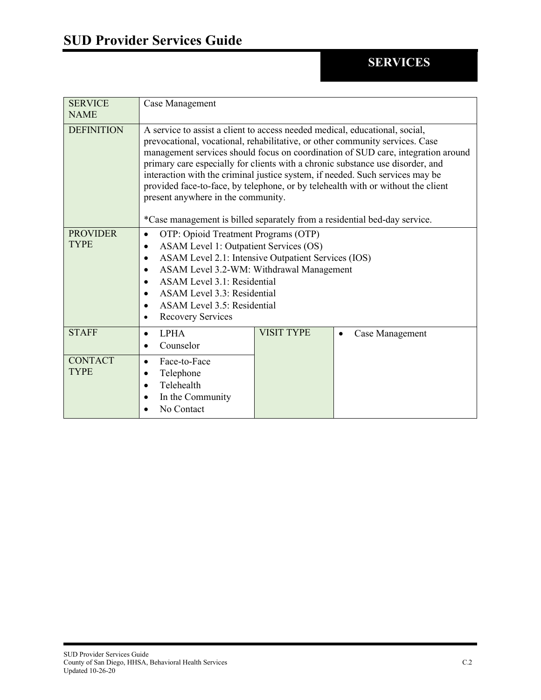<span id="page-5-0"></span>

| <b>SERVICE</b><br><b>NAME</b>  | Case Management                                                                                                                                                                                                                                                                                                                                                                                                                                                                                                                                                                                                           |                   |                              |
|--------------------------------|---------------------------------------------------------------------------------------------------------------------------------------------------------------------------------------------------------------------------------------------------------------------------------------------------------------------------------------------------------------------------------------------------------------------------------------------------------------------------------------------------------------------------------------------------------------------------------------------------------------------------|-------------------|------------------------------|
| <b>DEFINITION</b>              | A service to assist a client to access needed medical, educational, social,<br>prevocational, vocational, rehabilitative, or other community services. Case<br>management services should focus on coordination of SUD care, integration around<br>primary care especially for clients with a chronic substance use disorder, and<br>interaction with the criminal justice system, if needed. Such services may be<br>provided face-to-face, by telephone, or by telehealth with or without the client<br>present anywhere in the community.<br>*Case management is billed separately from a residential bed-day service. |                   |                              |
| <b>PROVIDER</b><br><b>TYPE</b> | OTP: Opioid Treatment Programs (OTP)<br>ASAM Level 1: Outpatient Services (OS)<br>ASAM Level 2.1: Intensive Outpatient Services (IOS)<br>$\bullet$<br>ASAM Level 3.2-WM: Withdrawal Management<br>$\bullet$<br>ASAM Level 3.1: Residential<br>ASAM Level 3.3: Residential<br>ASAM Level 3.5: Residential<br>Recovery Services<br>$\bullet$                                                                                                                                                                                                                                                                                |                   |                              |
| <b>STAFF</b>                   | <b>LPHA</b><br>$\bullet$<br>Counselor                                                                                                                                                                                                                                                                                                                                                                                                                                                                                                                                                                                     | <b>VISIT TYPE</b> | Case Management<br>$\bullet$ |
| <b>CONTACT</b><br><b>TYPE</b>  | Face-to-Face<br>$\bullet$<br>Telephone<br>$\bullet$<br>Telehealth<br>In the Community<br>No Contact                                                                                                                                                                                                                                                                                                                                                                                                                                                                                                                       |                   |                              |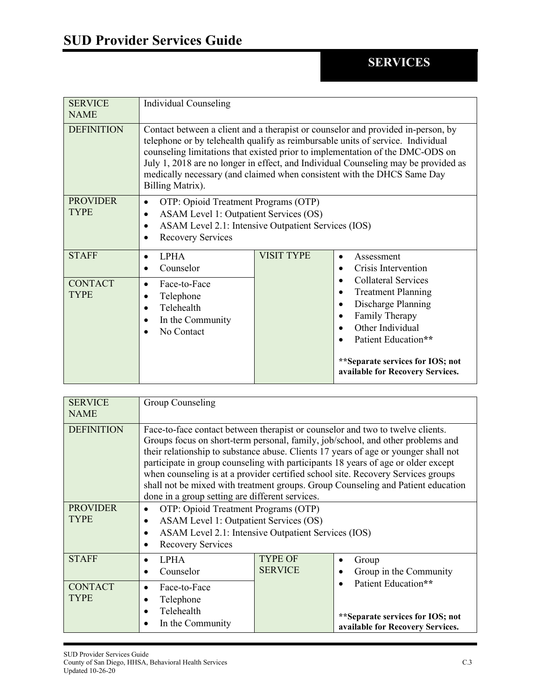<span id="page-6-0"></span>

| <b>SERVICE</b><br><b>NAME</b>  | Individual Counseling                                                                                                                                                                                                                                                                                                                                                                                                                     |                   |                                                                                                                                                                                                                                  |
|--------------------------------|-------------------------------------------------------------------------------------------------------------------------------------------------------------------------------------------------------------------------------------------------------------------------------------------------------------------------------------------------------------------------------------------------------------------------------------------|-------------------|----------------------------------------------------------------------------------------------------------------------------------------------------------------------------------------------------------------------------------|
| <b>DEFINITION</b>              | Contact between a client and a therapist or counselor and provided in-person, by<br>telephone or by telehealth qualify as reimbursable units of service. Individual<br>counseling limitations that existed prior to implementation of the DMC-ODS on<br>July 1, 2018 are no longer in effect, and Individual Counseling may be provided as<br>medically necessary (and claimed when consistent with the DHCS Same Day<br>Billing Matrix). |                   |                                                                                                                                                                                                                                  |
| <b>PROVIDER</b><br><b>TYPE</b> | OTP: Opioid Treatment Programs (OTP)<br>$\bullet$<br>ASAM Level 1: Outpatient Services (OS)<br>$\bullet$<br>ASAM Level 2.1: Intensive Outpatient Services (IOS)<br><b>Recovery Services</b>                                                                                                                                                                                                                                               |                   |                                                                                                                                                                                                                                  |
| <b>STAFF</b>                   | <b>LPHA</b><br>$\bullet$<br>Counselor                                                                                                                                                                                                                                                                                                                                                                                                     | <b>VISIT TYPE</b> | Assessment<br>$\bullet$<br>Crisis Intervention                                                                                                                                                                                   |
| <b>CONTACT</b><br><b>TYPE</b>  | Face-to-Face<br>$\bullet$<br>Telephone<br>Telehealth<br>In the Community<br>No Contact                                                                                                                                                                                                                                                                                                                                                    |                   | <b>Collateral Services</b><br><b>Treatment Planning</b><br>Discharge Planning<br>$\bullet$<br>Family Therapy<br>Other Individual<br>Patient Education**<br>** Separate services for IOS; not<br>available for Recovery Services. |

<span id="page-6-1"></span>

| <b>SERVICE</b><br><b>NAME</b>                       | Group Counseling                                                                                                                                                                                                                                                                                                                                                                                                                                                                                                                                                                                                                                                                                                                              |                                  |                                                                                             |
|-----------------------------------------------------|-----------------------------------------------------------------------------------------------------------------------------------------------------------------------------------------------------------------------------------------------------------------------------------------------------------------------------------------------------------------------------------------------------------------------------------------------------------------------------------------------------------------------------------------------------------------------------------------------------------------------------------------------------------------------------------------------------------------------------------------------|----------------------------------|---------------------------------------------------------------------------------------------|
| <b>DEFINITION</b><br><b>PROVIDER</b><br><b>TYPE</b> | Face-to-face contact between therapist or counselor and two to twelve clients.<br>Groups focus on short-term personal, family, job/school, and other problems and<br>their relationship to substance abuse. Clients 17 years of age or younger shall not<br>participate in group counseling with participants 18 years of age or older except<br>when counseling is at a provider certified school site. Recovery Services groups<br>shall not be mixed with treatment groups. Group Counseling and Patient education<br>done in a group setting are different services.<br>OTP: Opioid Treatment Programs (OTP)<br>ASAM Level 1: Outpatient Services (OS)<br>ASAM Level 2.1: Intensive Outpatient Services (IOS)<br><b>Recovery Services</b> |                                  |                                                                                             |
| <b>STAFF</b>                                        | <b>LPHA</b><br>Counselor                                                                                                                                                                                                                                                                                                                                                                                                                                                                                                                                                                                                                                                                                                                      | <b>TYPE OF</b><br><b>SERVICE</b> | Group<br>Group in the Community                                                             |
| <b>CONTACT</b><br><b>TYPE</b>                       | Face-to-Face<br>Telephone<br>Telehealth<br>In the Community                                                                                                                                                                                                                                                                                                                                                                                                                                                                                                                                                                                                                                                                                   |                                  | Patient Education**<br>**Separate services for IOS; not<br>available for Recovery Services. |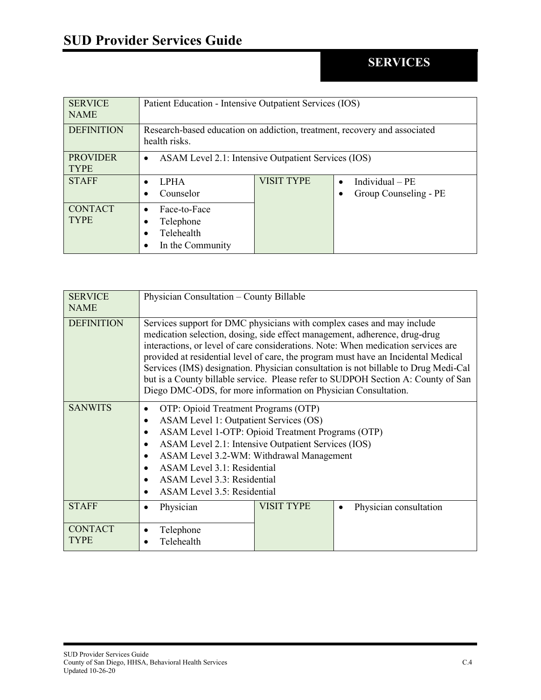<span id="page-7-0"></span>

| <b>SERVICE</b><br><b>NAME</b>  | Patient Education - Intensive Outpatient Services (IOS)                                    |                   |                                           |
|--------------------------------|--------------------------------------------------------------------------------------------|-------------------|-------------------------------------------|
| <b>DEFINITION</b>              | Research-based education on addiction, treatment, recovery and associated<br>health risks. |                   |                                           |
| <b>PROVIDER</b><br><b>TYPE</b> | ASAM Level 2.1: Intensive Outpatient Services (IOS)<br>$\bullet$                           |                   |                                           |
| <b>STAFF</b>                   | <b>LPHA</b><br>Counselor                                                                   | <b>VISIT TYPE</b> | Individual $-PE$<br>Group Counseling - PE |
| <b>CONTACT</b><br><b>TYPE</b>  | Face-to-Face<br>Telephone<br>Telehealth<br>In the Community                                |                   |                                           |

<span id="page-7-1"></span>

| <b>SERVICE</b><br><b>NAME</b> | Physician Consultation - County Billable                                                                                                                                                                                                                                                                                                                                                                                                                                                                                                                                      |            |                        |
|-------------------------------|-------------------------------------------------------------------------------------------------------------------------------------------------------------------------------------------------------------------------------------------------------------------------------------------------------------------------------------------------------------------------------------------------------------------------------------------------------------------------------------------------------------------------------------------------------------------------------|------------|------------------------|
| <b>DEFINITION</b>             | Services support for DMC physicians with complex cases and may include<br>medication selection, dosing, side effect management, adherence, drug-drug<br>interactions, or level of care considerations. Note: When medication services are<br>provided at residential level of care, the program must have an Incidental Medical<br>Services (IMS) designation. Physician consultation is not billable to Drug Medi-Cal<br>but is a County billable service. Please refer to SUDPOH Section A: County of San<br>Diego DMC-ODS, for more information on Physician Consultation. |            |                        |
| <b>SANWITS</b>                | OTP: Opioid Treatment Programs (OTP)<br><b>ASAM Level 1: Outpatient Services (OS)</b><br>ASAM Level 1-OTP: Opioid Treatment Programs (OTP)<br>ASAM Level 2.1: Intensive Outpatient Services (IOS)<br>ASAM Level 3.2-WM: Withdrawal Management<br>ASAM Level 3.1: Residential<br>ASAM Level 3.3: Residential<br>ASAM Level 3.5: Residential                                                                                                                                                                                                                                    |            |                        |
| <b>STAFF</b>                  | Physician                                                                                                                                                                                                                                                                                                                                                                                                                                                                                                                                                                     | VISIT TYPE | Physician consultation |
| <b>CONTACT</b><br><b>TYPE</b> | Telephone<br>Telehealth                                                                                                                                                                                                                                                                                                                                                                                                                                                                                                                                                       |            |                        |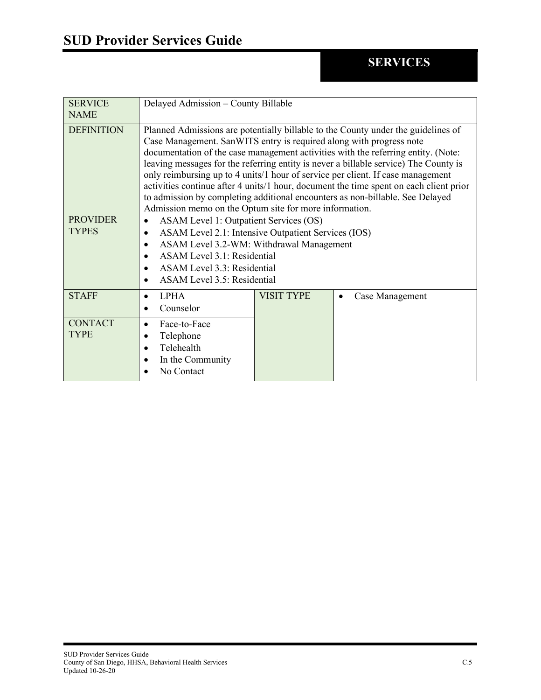<span id="page-8-0"></span>

| <b>SERVICE</b>                  | Delayed Admission - County Billable                                                                                                                                                                                                                                                                                                                                                                                                                                                                                                                                                                                                                           |                   |                 |
|---------------------------------|---------------------------------------------------------------------------------------------------------------------------------------------------------------------------------------------------------------------------------------------------------------------------------------------------------------------------------------------------------------------------------------------------------------------------------------------------------------------------------------------------------------------------------------------------------------------------------------------------------------------------------------------------------------|-------------------|-----------------|
| <b>NAME</b>                     |                                                                                                                                                                                                                                                                                                                                                                                                                                                                                                                                                                                                                                                               |                   |                 |
| <b>DEFINITION</b>               | Planned Admissions are potentially billable to the County under the guidelines of<br>Case Management. SanWITS entry is required along with progress note<br>documentation of the case management activities with the referring entity. (Note:<br>leaving messages for the referring entity is never a billable service) The County is<br>only reimbursing up to 4 units/1 hour of service per client. If case management<br>activities continue after 4 units/1 hour, document the time spent on each client prior<br>to admission by completing additional encounters as non-billable. See Delayed<br>Admission memo on the Optum site for more information. |                   |                 |
| <b>PROVIDER</b><br><b>TYPES</b> | ASAM Level 1: Outpatient Services (OS)<br>ASAM Level 2.1: Intensive Outpatient Services (IOS)<br>ASAM Level 3.2-WM: Withdrawal Management<br>ASAM Level 3.1: Residential<br>$\bullet$<br>ASAM Level 3.3: Residential<br>ASAM Level 3.5: Residential                                                                                                                                                                                                                                                                                                                                                                                                           |                   |                 |
| <b>STAFF</b>                    | <b>LPHA</b><br>Counselor                                                                                                                                                                                                                                                                                                                                                                                                                                                                                                                                                                                                                                      | <b>VISIT TYPE</b> | Case Management |
| <b>CONTACT</b><br><b>TYPE</b>   | Face-to-Face<br>Telephone<br>Telehealth<br>$\bullet$<br>In the Community<br>No Contact                                                                                                                                                                                                                                                                                                                                                                                                                                                                                                                                                                        |                   |                 |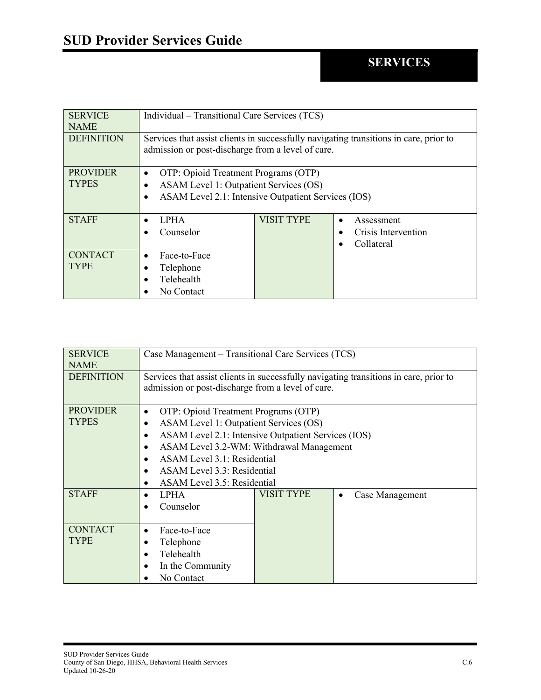<span id="page-9-0"></span>

| <b>SERVICE</b><br><b>NAME</b>   | Individual – Transitional Care Services (TCS)                                                                                                      |                   |                                                              |
|---------------------------------|----------------------------------------------------------------------------------------------------------------------------------------------------|-------------------|--------------------------------------------------------------|
| <b>DEFINITION</b>               | Services that assist clients in successfully navigating transitions in care, prior to<br>admission or post-discharge from a level of care.         |                   |                                                              |
| <b>PROVIDER</b><br><b>TYPES</b> | OTP: Opioid Treatment Programs (OTP)<br>$\bullet$<br>ASAM Level 1: Outpatient Services (OS)<br>ASAM Level 2.1: Intensive Outpatient Services (IOS) |                   |                                                              |
| <b>STAFF</b>                    | <b>LPHA</b><br>Counselor                                                                                                                           | <b>VISIT TYPE</b> | Assessment<br>$\bullet$<br>Crisis Intervention<br>Collateral |
| <b>CONTACT</b><br><b>TYPE</b>   | Face-to-Face<br>$\bullet$<br>Telephone<br>Telehealth<br>No Contact                                                                                 |                   |                                                              |

<span id="page-9-1"></span>

| <b>SERVICE</b>    | Case Management – Transitional Care Services (TCS)                                    |            |                 |
|-------------------|---------------------------------------------------------------------------------------|------------|-----------------|
| <b>NAME</b>       |                                                                                       |            |                 |
| <b>DEFINITION</b> | Services that assist clients in successfully navigating transitions in care, prior to |            |                 |
|                   | admission or post-discharge from a level of care.                                     |            |                 |
| <b>PROVIDER</b>   | OTP: Opioid Treatment Programs (OTP)<br>$\bullet$                                     |            |                 |
| <b>TYPES</b>      | ASAM Level 1: Outpatient Services (OS)                                                |            |                 |
|                   | ASAM Level 2.1: Intensive Outpatient Services (IOS)                                   |            |                 |
|                   | ASAM Level 3.2-WM: Withdrawal Management                                              |            |                 |
|                   | ASAM Level 3.1: Residential                                                           |            |                 |
|                   | ASAM Level 3.3: Residential                                                           |            |                 |
|                   | ASAM Level 3.5: Residential                                                           |            |                 |
| <b>STAFF</b>      | <b>LPHA</b>                                                                           | VISIT TYPE | Case Management |
|                   | Counselor                                                                             |            |                 |
|                   |                                                                                       |            |                 |
| <b>CONTACT</b>    | Face-to-Face<br>$\bullet$                                                             |            |                 |
| <b>TYPE</b>       | Telephone                                                                             |            |                 |
|                   | Telehealth                                                                            |            |                 |
|                   | In the Community                                                                      |            |                 |
|                   | No Contact                                                                            |            |                 |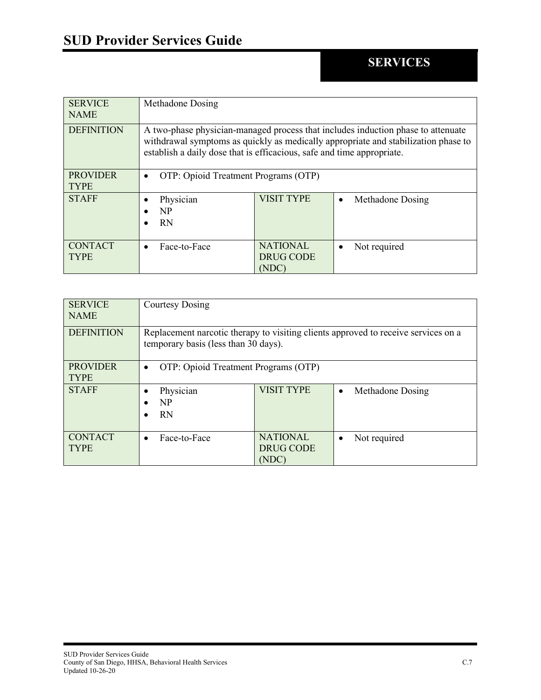<span id="page-10-0"></span>

| <b>SERVICE</b><br><b>NAME</b>  | Methadone Dosing                                                                                                                                                                                                                                 |                                              |                  |
|--------------------------------|--------------------------------------------------------------------------------------------------------------------------------------------------------------------------------------------------------------------------------------------------|----------------------------------------------|------------------|
| <b>DEFINITION</b>              | A two-phase physician-managed process that includes induction phase to attenuate<br>withdrawal symptoms as quickly as medically appropriate and stabilization phase to<br>establish a daily dose that is efficacious, safe and time appropriate. |                                              |                  |
| <b>PROVIDER</b><br><b>TYPE</b> | OTP: Opioid Treatment Programs (OTP)<br>$\bullet$                                                                                                                                                                                                |                                              |                  |
| <b>STAFF</b>                   | Physician<br><b>NP</b><br><b>RN</b>                                                                                                                                                                                                              | <b>VISIT TYPE</b>                            | Methadone Dosing |
| <b>CONTACT</b><br><b>TYPE</b>  | Face-to-Face<br>$\bullet$                                                                                                                                                                                                                        | <b>NATIONAL</b><br><b>DRUG CODE</b><br>(NDC) | Not required     |

<span id="page-10-1"></span>

| <b>SERVICE</b><br><b>NAME</b>  | <b>Courtesy Dosing</b>                                                                                                     |                                              |                               |
|--------------------------------|----------------------------------------------------------------------------------------------------------------------------|----------------------------------------------|-------------------------------|
| <b>DEFINITION</b>              | Replacement narcotic therapy to visiting clients approved to receive services on a<br>temporary basis (less than 30 days). |                                              |                               |
| <b>PROVIDER</b><br><b>TYPE</b> | OTP: Opioid Treatment Programs (OTP)<br>$\bullet$                                                                          |                                              |                               |
| <b>STAFF</b>                   | Physician<br><b>NP</b><br><b>RN</b>                                                                                        | <b>VISIT TYPE</b>                            | Methadone Dosing<br>$\bullet$ |
| <b>CONTACT</b><br><b>TYPE</b>  | Face-to-Face<br>$\bullet$                                                                                                  | <b>NATIONAL</b><br><b>DRUG CODE</b><br>(NDC) | Not required<br>$\bullet$     |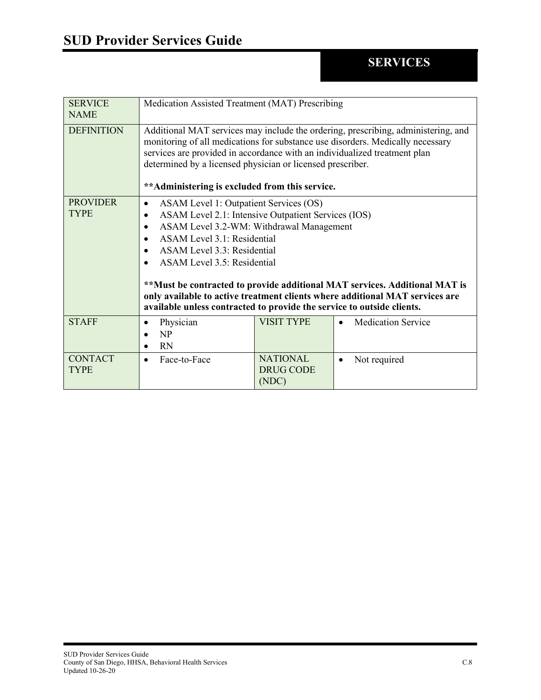<span id="page-11-0"></span>

| <b>SERVICE</b><br><b>NAME</b>  | Medication Assisted Treatment (MAT) Prescribing                                                                                                                                                                                                                                                                                                                                                                                                                                |                                              |                           |  |
|--------------------------------|--------------------------------------------------------------------------------------------------------------------------------------------------------------------------------------------------------------------------------------------------------------------------------------------------------------------------------------------------------------------------------------------------------------------------------------------------------------------------------|----------------------------------------------|---------------------------|--|
| <b>DEFINITION</b>              | Additional MAT services may include the ordering, prescribing, administering, and<br>monitoring of all medications for substance use disorders. Medically necessary<br>services are provided in accordance with an individualized treatment plan<br>determined by a licensed physician or licensed prescriber.<br>** Administering is excluded from this service.                                                                                                              |                                              |                           |  |
| <b>PROVIDER</b><br><b>TYPE</b> | ASAM Level 1: Outpatient Services (OS)<br>ASAM Level 2.1: Intensive Outpatient Services (IOS)<br>ASAM Level 3.2-WM: Withdrawal Management<br>ASAM Level 3.1: Residential<br>ASAM Level 3.3: Residential<br>ASAM Level 3.5: Residential<br>**Must be contracted to provide additional MAT services. Additional MAT is<br>only available to active treatment clients where additional MAT services are<br>available unless contracted to provide the service to outside clients. |                                              |                           |  |
| <b>STAFF</b>                   | Physician<br>$\bullet$<br>NP<br><b>RN</b><br>$\bullet$                                                                                                                                                                                                                                                                                                                                                                                                                         | <b>VISIT TYPE</b>                            | <b>Medication Service</b> |  |
| <b>CONTACT</b><br><b>TYPE</b>  | Face-to-Face<br>$\bullet$                                                                                                                                                                                                                                                                                                                                                                                                                                                      | <b>NATIONAL</b><br><b>DRUG CODE</b><br>(NDC) | Not required              |  |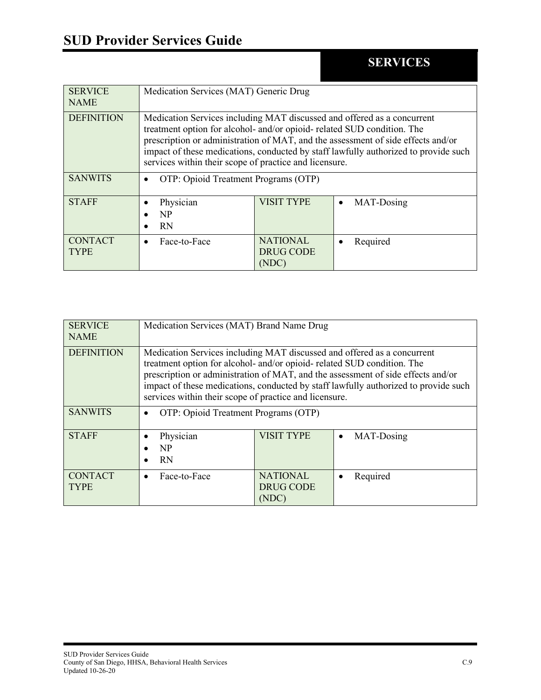<span id="page-12-0"></span>

| <b>SERVICE</b><br><b>NAME</b> | Medication Services (MAT) Generic Drug                                                                                                                                                                                                                                                                                                                                                  |                                              |                         |
|-------------------------------|-----------------------------------------------------------------------------------------------------------------------------------------------------------------------------------------------------------------------------------------------------------------------------------------------------------------------------------------------------------------------------------------|----------------------------------------------|-------------------------|
| <b>DEFINITION</b>             | Medication Services including MAT discussed and offered as a concurrent<br>treatment option for alcohol- and/or opioid- related SUD condition. The<br>prescription or administration of MAT, and the assessment of side effects and/or<br>impact of these medications, conducted by staff lawfully authorized to provide such<br>services within their scope of practice and licensure. |                                              |                         |
| <b>SANWITS</b>                | OTP: Opioid Treatment Programs (OTP)                                                                                                                                                                                                                                                                                                                                                    |                                              |                         |
| <b>STAFF</b>                  | Physician<br>N <sub>P</sub><br><b>RN</b>                                                                                                                                                                                                                                                                                                                                                | <b>VISIT TYPE</b>                            | MAT-Dosing<br>$\bullet$ |
| <b>CONTACT</b><br><b>TYPE</b> | Face-to-Face                                                                                                                                                                                                                                                                                                                                                                            | <b>NATIONAL</b><br><b>DRUG CODE</b><br>(NDC) | Required                |

<span id="page-12-1"></span>

| <b>SERVICE</b><br><b>NAME</b> | Medication Services (MAT) Brand Name Drug                                                                                                                                                                                                                                                                                                                                               |                                              |                         |
|-------------------------------|-----------------------------------------------------------------------------------------------------------------------------------------------------------------------------------------------------------------------------------------------------------------------------------------------------------------------------------------------------------------------------------------|----------------------------------------------|-------------------------|
| <b>DEFINITION</b>             | Medication Services including MAT discussed and offered as a concurrent<br>treatment option for alcohol- and/or opioid- related SUD condition. The<br>prescription or administration of MAT, and the assessment of side effects and/or<br>impact of these medications, conducted by staff lawfully authorized to provide such<br>services within their scope of practice and licensure. |                                              |                         |
| <b>SANWITS</b>                | OTP: Opioid Treatment Programs (OTP)                                                                                                                                                                                                                                                                                                                                                    |                                              |                         |
| <b>STAFF</b>                  | Physician<br>N <sub>P</sub><br><b>RN</b>                                                                                                                                                                                                                                                                                                                                                | <b>VISIT TYPE</b>                            | MAT-Dosing<br>$\bullet$ |
| <b>CONTACT</b><br>TYPE        | Face-to-Face                                                                                                                                                                                                                                                                                                                                                                            | <b>NATIONAL</b><br><b>DRUG CODE</b><br>(NDC) | Required                |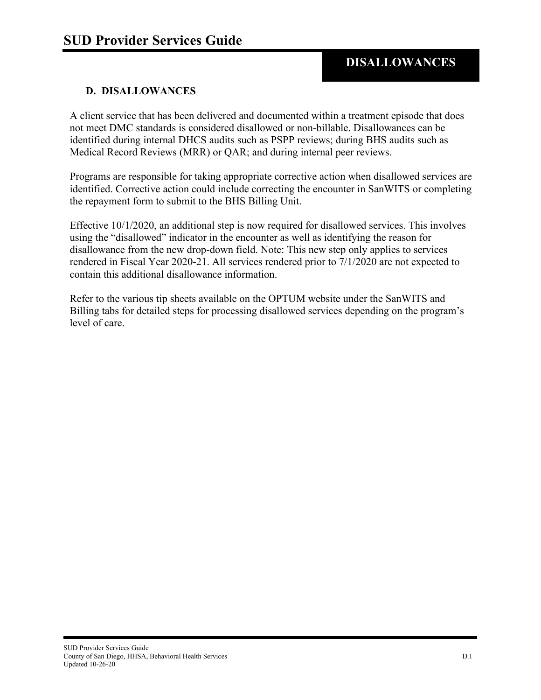#### <span id="page-13-0"></span>**D. DISALLOWANCES**

A client service that has been delivered and documented within a treatment episode that does not meet DMC standards is considered disallowed or non-billable. Disallowances can be identified during internal DHCS audits such as PSPP reviews; during BHS audits such as Medical Record Reviews (MRR) or QAR; and during internal peer reviews.

Programs are responsible for taking appropriate corrective action when disallowed services are identified. Corrective action could include correcting the encounter in SanWITS or completing the repayment form to submit to the BHS Billing Unit.

Effective 10/1/2020, an additional step is now required for disallowed services. This involves using the "disallowed" indicator in the encounter as well as identifying the reason for disallowance from the new drop-down field. Note: This new step only applies to services rendered in Fiscal Year 2020-21. All services rendered prior to 7/1/2020 are not expected to contain this additional disallowance information.

Refer to the various tip sheets available on the OPTUM website under the SanWITS and Billing tabs for detailed steps for processing disallowed services depending on the program's level of care.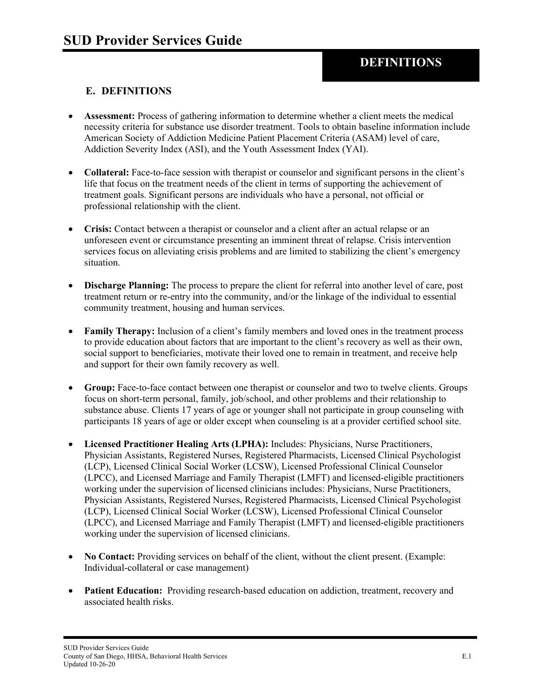#### <span id="page-14-0"></span>**E. DEFINITIONS**

- **Assessment:** Process of gathering information to determine whether a client meets the medical necessity criteria for substance use disorder treatment. Tools to obtain baseline information include American Society of Addiction Medicine Patient Placement Criteria (ASAM) level of care, Addiction Severity Index (ASI), and the Youth Assessment Index (YAI).
- **Collateral:** Face-to-face session with therapist or counselor and significant persons in the client's life that focus on the treatment needs of the client in terms of supporting the achievement of treatment goals. Significant persons are individuals who have a personal, not official or professional relationship with the client.
- **Crisis:** Contact between a therapist or counselor and a client after an actual relapse or an unforeseen event or circumstance presenting an imminent threat of relapse. Crisis intervention services focus on alleviating crisis problems and are limited to stabilizing the client's emergency situation.
- **Discharge Planning:** The process to prepare the client for referral into another level of care, post treatment return or re-entry into the community, and/or the linkage of the individual to essential community treatment, housing and human services.
- **Family Therapy:** Inclusion of a client's family members and loved ones in the treatment process to provide education about factors that are important to the client's recovery as well as their own, social support to beneficiaries, motivate their loved one to remain in treatment, and receive help and support for their own family recovery as well.
- **Group:** Face-to-face contact between one therapist or counselor and two to twelve clients. Groups focus on short-term personal, family, job/school, and other problems and their relationship to substance abuse. Clients 17 years of age or younger shall not participate in group counseling with participants 18 years of age or older except when counseling is at a provider certified school site.
- **Licensed Practitioner Healing Arts (LPHA):** Includes: Physicians, Nurse Practitioners, Physician Assistants, Registered Nurses, Registered Pharmacists, Licensed Clinical Psychologist (LCP), Licensed Clinical Social Worker (LCSW), Licensed Professional Clinical Counselor (LPCC), and Licensed Marriage and Family Therapist (LMFT) and licensed-eligible practitioners working under the supervision of licensed clinicians includes: Physicians, Nurse Practitioners, Physician Assistants, Registered Nurses, Registered Pharmacists, Licensed Clinical Psychologist (LCP), Licensed Clinical Social Worker (LCSW), Licensed Professional Clinical Counselor (LPCC), and Licensed Marriage and Family Therapist (LMFT) and licensed-eligible practitioners working under the supervision of licensed clinicians.
- No Contact: Providing services on behalf of the client, without the client present. (Example: Individual-collateral or case management)
- **Patient Education:** Providing research-based education on addiction, treatment, recovery and associated health risks.